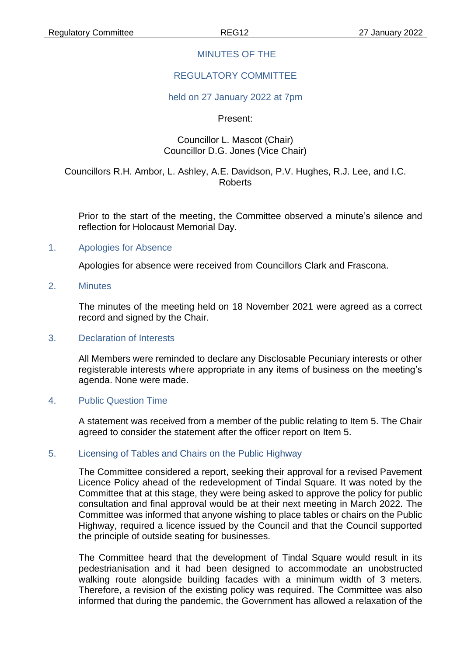# MINUTES OF THE

# REGULATORY COMMITTEE

#### held on 27 January 2022 at 7pm

Present:

#### Councillor L. Mascot (Chair) Councillor D.G. Jones (Vice Chair)

# Councillors R.H. Ambor, L. Ashley, A.E. Davidson, P.V. Hughes, R.J. Lee, and I.C. Roberts

Prior to the start of the meeting, the Committee observed a minute's silence and reflection for Holocaust Memorial Day.

#### 1. Apologies for Absence

Apologies for absence were received from Councillors Clark and Frascona.

2. Minutes

The minutes of the meeting held on 18 November 2021 were agreed as a correct record and signed by the Chair.

#### 3. Declaration of Interests

All Members were reminded to declare any Disclosable Pecuniary interests or other registerable interests where appropriate in any items of business on the meeting's agenda. None were made.

#### 4. Public Question Time

A statement was received from a member of the public relating to Item 5. The Chair agreed to consider the statement after the officer report on Item 5.

# 5. Licensing of Tables and Chairs on the Public Highway

The Committee considered a report, seeking their approval for a revised Pavement Licence Policy ahead of the redevelopment of Tindal Square. It was noted by the Committee that at this stage, they were being asked to approve the policy for public consultation and final approval would be at their next meeting in March 2022. The Committee was informed that anyone wishing to place tables or chairs on the Public Highway, required a licence issued by the Council and that the Council supported the principle of outside seating for businesses.

The Committee heard that the development of Tindal Square would result in its pedestrianisation and it had been designed to accommodate an unobstructed walking route alongside building facades with a minimum width of 3 meters. Therefore, a revision of the existing policy was required. The Committee was also informed that during the pandemic, the Government has allowed a relaxation of the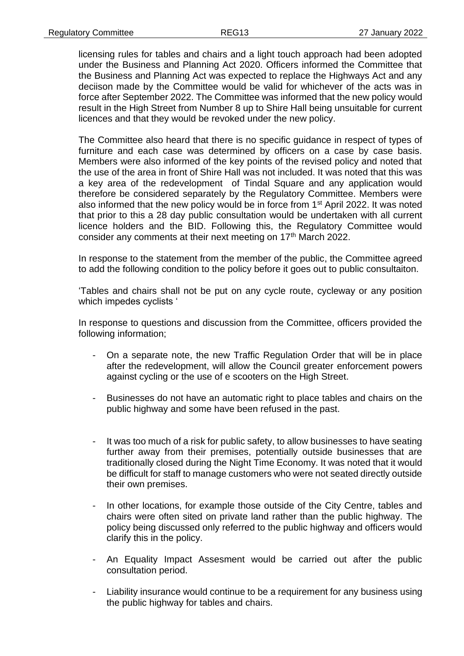licensing rules for tables and chairs and a light touch approach had been adopted under the Business and Planning Act 2020. Officers informed the Committee that the Business and Planning Act was expected to replace the Highways Act and any deciison made by the Committee would be valid for whichever of the acts was in force after September 2022. The Committee was informed that the new policy would result in the High Street from Number 8 up to Shire Hall being unsuitable for current licences and that they would be revoked under the new policy.

The Committee also heard that there is no specific guidance in respect of types of furniture and each case was determined by officers on a case by case basis. Members were also informed of the key points of the revised policy and noted that the use of the area in front of Shire Hall was not included. It was noted that this was a key area of the redevelopment of Tindal Square and any application would therefore be considered separately by the Regulatory Committee. Members were also informed that the new policy would be in force from 1st April 2022. It was noted that prior to this a 28 day public consultation would be undertaken with all current licence holders and the BID. Following this, the Regulatory Committee would consider any comments at their next meeting on 17<sup>th</sup> March 2022.

In response to the statement from the member of the public, the Committee agreed to add the following condition to the policy before it goes out to public consultaiton.

'Tables and chairs shall not be put on any cycle route, cycleway or any position which impedes cyclists '

In response to questions and discussion from the Committee, officers provided the following information;

- On a separate note, the new Traffic Regulation Order that will be in place after the redevelopment, will allow the Council greater enforcement powers against cycling or the use of e scooters on the High Street.
- Businesses do not have an automatic right to place tables and chairs on the public highway and some have been refused in the past.
- It was too much of a risk for public safety, to allow businesses to have seating further away from their premises, potentially outside businesses that are traditionally closed during the Night Time Economy. It was noted that it would be difficult for staff to manage customers who were not seated directly outside their own premises.
- In other locations, for example those outside of the City Centre, tables and chairs were often sited on private land rather than the public highway. The policy being discussed only referred to the public highway and officers would clarify this in the policy.
- An Equality Impact Assesment would be carried out after the public consultation period.
- Liability insurance would continue to be a requirement for any business using the public highway for tables and chairs.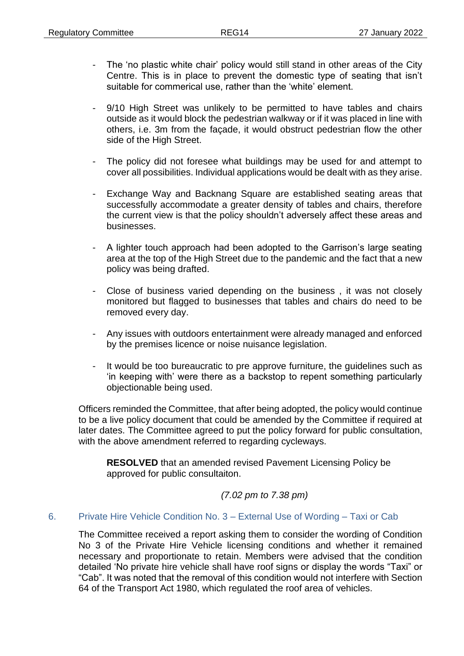- The 'no plastic white chair' policy would still stand in other areas of the City Centre. This is in place to prevent the domestic type of seating that isn't suitable for commerical use, rather than the 'white' element.
- 9/10 High Street was unlikely to be permitted to have tables and chairs outside as it would block the pedestrian walkway or if it was placed in line with others, i.e. 3m from the façade, it would obstruct pedestrian flow the other side of the High Street.
- The policy did not foresee what buildings may be used for and attempt to cover all possibilities. Individual applications would be dealt with as they arise.
- Exchange Way and Backnang Square are established seating areas that successfully accommodate a greater density of tables and chairs, therefore the current view is that the policy shouldn't adversely affect these areas and businesses.
- A lighter touch approach had been adopted to the Garrison's large seating area at the top of the High Street due to the pandemic and the fact that a new policy was being drafted.
- Close of business varied depending on the business, it was not closely monitored but flagged to businesses that tables and chairs do need to be removed every day.
- Any issues with outdoors entertainment were already managed and enforced by the premises licence or noise nuisance legislation.
- It would be too bureaucratic to pre approve furniture, the guidelines such as 'in keeping with' were there as a backstop to repent something particularly objectionable being used.

Officers reminded the Committee, that after being adopted, the policy would continue to be a live policy document that could be amended by the Committee if required at later dates. The Committee agreed to put the policy forward for public consultation, with the above amendment referred to regarding cycleways.

**RESOLVED** that an amended revised Pavement Licensing Policy be approved for public consultaiton.

*(7.02 pm to 7.38 pm)*

# 6. Private Hire Vehicle Condition No. 3 – External Use of Wording – Taxi or Cab

The Committee received a report asking them to consider the wording of Condition No 3 of the Private Hire Vehicle licensing conditions and whether it remained necessary and proportionate to retain. Members were advised that the condition detailed 'No private hire vehicle shall have roof signs or display the words "Taxi" or "Cab". It was noted that the removal of this condition would not interfere with Section 64 of the Transport Act 1980, which regulated the roof area of vehicles.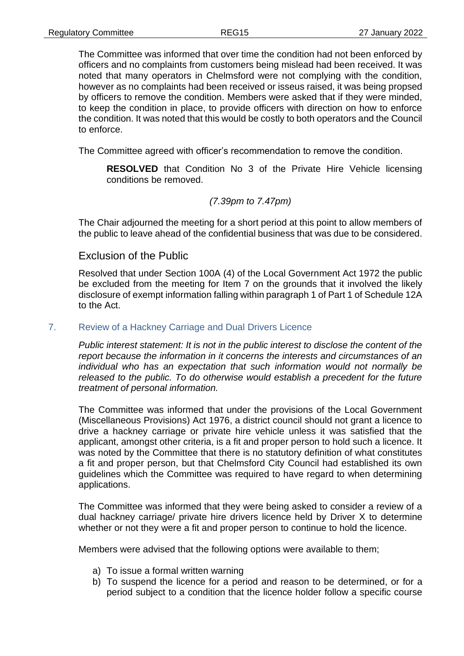The Committee was informed that over time the condition had not been enforced by officers and no complaints from customers being mislead had been received. It was noted that many operators in Chelmsford were not complying with the condition, however as no complaints had been received or isseus raised, it was being propsed by officers to remove the condition. Members were asked that if they were minded, to keep the condition in place, to provide officers with direction on how to enforce the condition. It was noted that this would be costly to both operators and the Council to enforce.

The Committee agreed with officer's recommendation to remove the condition.

**RESOLVED** that Condition No 3 of the Private Hire Vehicle licensing conditions be removed.

#### *(7.39pm to 7.47pm)*

The Chair adjourned the meeting for a short period at this point to allow members of the public to leave ahead of the confidential business that was due to be considered.

# Exclusion of the Public

Resolved that under Section 100A (4) of the Local Government Act 1972 the public be excluded from the meeting for Item 7 on the grounds that it involved the likely disclosure of exempt information falling within paragraph 1 of Part 1 of Schedule 12A to the Act.

#### 7. Review of a Hackney Carriage and Dual Drivers Licence

*Public interest statement: It is not in the public interest to disclose the content of the report because the information in it concerns the interests and circumstances of an individual who has an expectation that such information would not normally be released to the public. To do otherwise would establish a precedent for the future treatment of personal information.*

The Committee was informed that under the provisions of the Local Government (Miscellaneous Provisions) Act 1976, a district council should not grant a licence to drive a hackney carriage or private hire vehicle unless it was satisfied that the applicant, amongst other criteria, is a fit and proper person to hold such a licence. It was noted by the Committee that there is no statutory definition of what constitutes a fit and proper person, but that Chelmsford City Council had established its own guidelines which the Committee was required to have regard to when determining applications.

The Committee was informed that they were being asked to consider a review of a dual hackney carriage/ private hire drivers licence held by Driver X to determine whether or not they were a fit and proper person to continue to hold the licence.

Members were advised that the following options were available to them;

- a) To issue a formal written warning
- b) To suspend the licence for a period and reason to be determined, or for a period subject to a condition that the licence holder follow a specific course